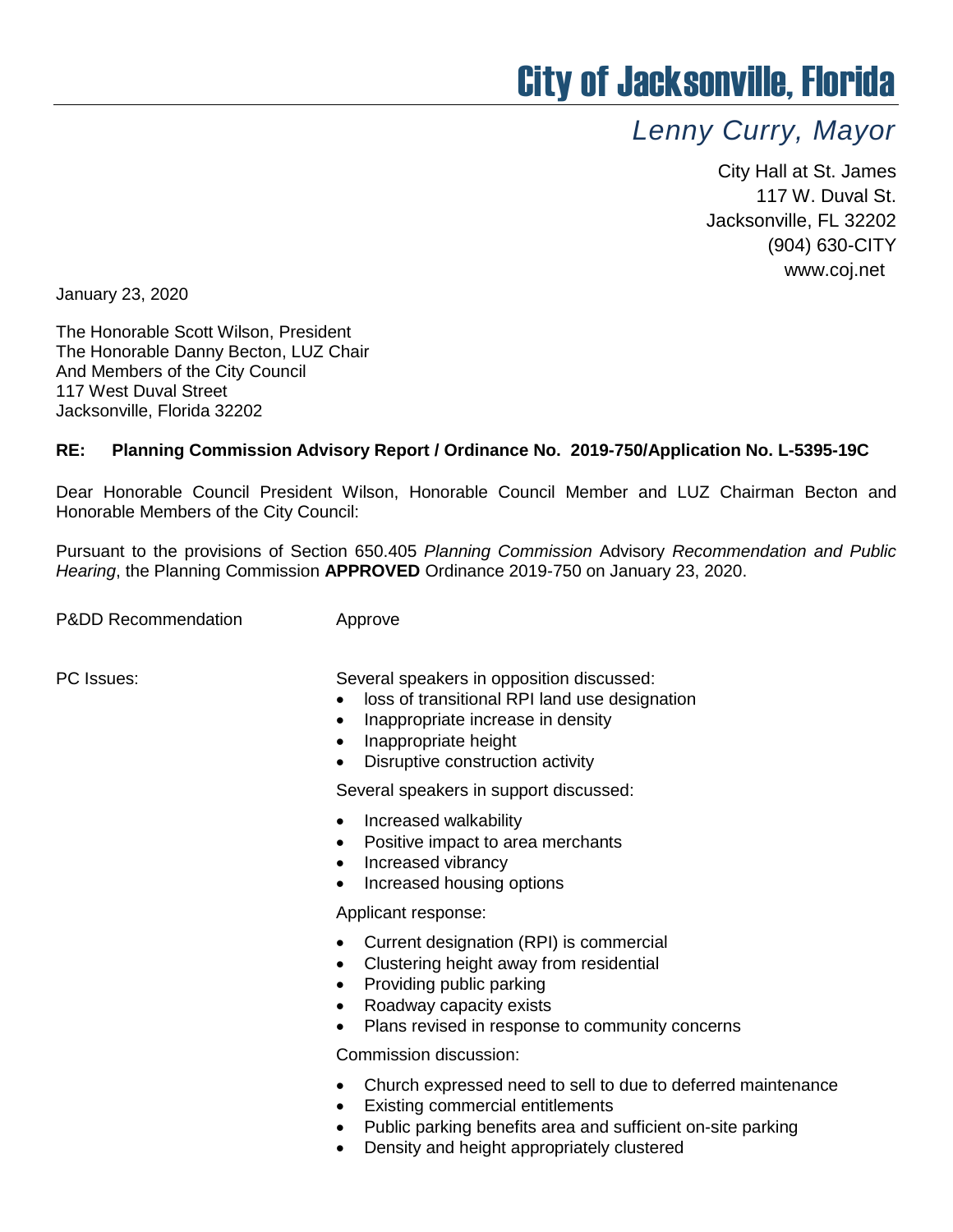## City of Jacksonville, Florida

## *Lenny Curry, Mayor*

City Hall at St. James 117 W. Duval St. Jacksonville, FL 32202 (904) 630-CITY www.coj.net

January 23, 2020

The Honorable Scott Wilson, President The Honorable Danny Becton, LUZ Chair And Members of the City Council 117 West Duval Street Jacksonville, Florida 32202

## **RE: Planning Commission Advisory Report / Ordinance No. 2019-750/Application No. L-5395-19C**

Dear Honorable Council President Wilson, Honorable Council Member and LUZ Chairman Becton and Honorable Members of the City Council:

Pursuant to the provisions of Section 650.405 *Planning Commission* Advisory *Recommendation and Public Hearing*, the Planning Commission **APPROVED** Ordinance 2019-750 on January 23, 2020.

P&DD Recommendation **Approve** 

PC Issues: Several speakers in opposition discussed:

- loss of transitional RPI land use designation
- Inappropriate increase in density
- Inappropriate height
- Disruptive construction activity

Several speakers in support discussed:

- Increased walkability
- Positive impact to area merchants
- Increased vibrancy
- Increased housing options

Applicant response:

- Current designation (RPI) is commercial
- Clustering height away from residential
- Providing public parking
- Roadway capacity exists
- Plans revised in response to community concerns

Commission discussion:

- Church expressed need to sell to due to deferred maintenance
- Existing commercial entitlements
- Public parking benefits area and sufficient on-site parking
- Density and height appropriately clustered